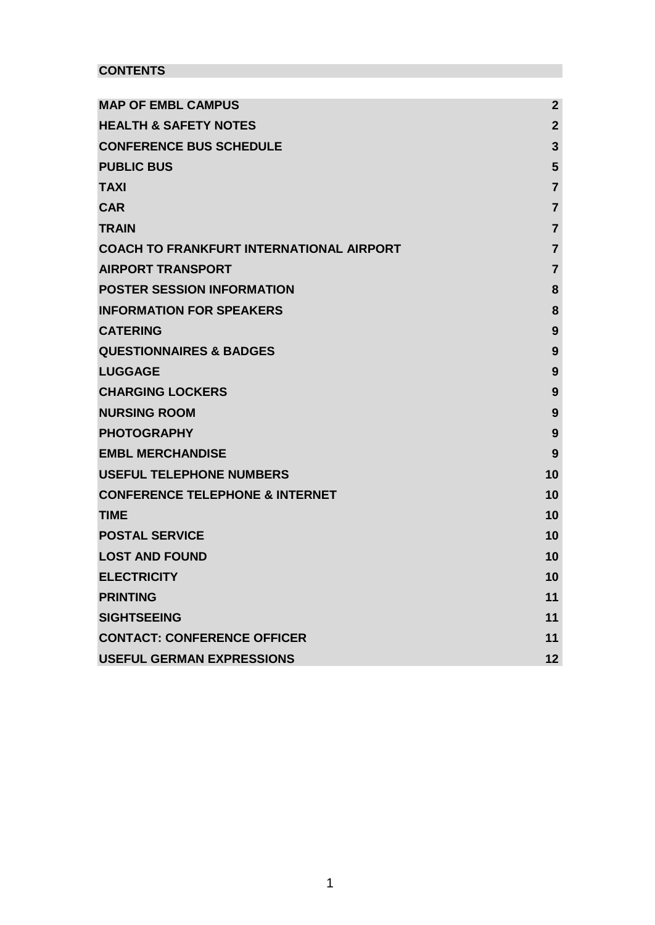# **CONTENTS**

| <b>MAP OF EMBL CAMPUS</b>                       | $\overline{2}$ |
|-------------------------------------------------|----------------|
| <b>HEALTH &amp; SAFETY NOTES</b>                | $\overline{2}$ |
| <b>CONFERENCE BUS SCHEDULE</b>                  | 3              |
| <b>PUBLIC BUS</b>                               | 5              |
| <b>TAXI</b>                                     | $\overline{7}$ |
| <b>CAR</b>                                      | $\overline{7}$ |
| <b>TRAIN</b>                                    | 7              |
| <b>COACH TO FRANKFURT INTERNATIONAL AIRPORT</b> | $\overline{7}$ |
| <b>AIRPORT TRANSPORT</b>                        | 7              |
| <b>POSTER SESSION INFORMATION</b>               | 8              |
| <b>INFORMATION FOR SPEAKERS</b>                 | 8              |
| <b>CATERING</b>                                 | 9              |
| <b>QUESTIONNAIRES &amp; BADGES</b>              | 9              |
| <b>LUGGAGE</b>                                  | 9              |
| <b>CHARGING LOCKERS</b>                         | 9              |
| <b>NURSING ROOM</b>                             | 9              |
| <b>PHOTOGRAPHY</b>                              | 9              |
| <b>EMBL MERCHANDISE</b>                         | 9              |
| <b>USEFUL TELEPHONE NUMBERS</b>                 | 10             |
| <b>CONFERENCE TELEPHONE &amp; INTERNET</b>      | 10             |
| <b>TIME</b>                                     | 10             |
| <b>POSTAL SERVICE</b>                           | 10             |
| <b>LOST AND FOUND</b>                           | 10             |
| <b>ELECTRICITY</b>                              | 10             |
| <b>PRINTING</b>                                 | 11             |
| <b>SIGHTSEEING</b>                              | 11             |
| <b>CONTACT: CONFERENCE OFFICER</b>              | 11             |
| <b>USEFUL GERMAN EXPRESSIONS</b>                | 12             |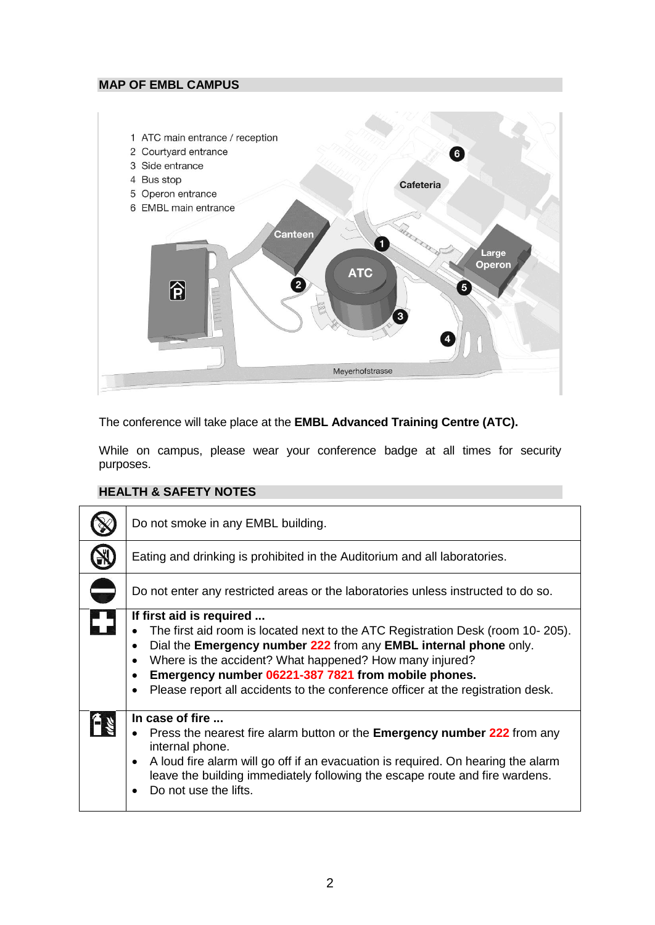## <span id="page-1-0"></span>**MAP OF EMBL CAMPUS**



The conference will take place at the **EMBL Advanced Training Centre (ATC).** 

While on campus, please wear your conference badge at all times for security purposes.

## <span id="page-1-1"></span>**HEALTH & SAFETY NOTES**

| Do not smoke in any EMBL building.                                                                                                                                                                                                                                                                                                                                                                                                      |
|-----------------------------------------------------------------------------------------------------------------------------------------------------------------------------------------------------------------------------------------------------------------------------------------------------------------------------------------------------------------------------------------------------------------------------------------|
| Eating and drinking is prohibited in the Auditorium and all laboratories.                                                                                                                                                                                                                                                                                                                                                               |
| Do not enter any restricted areas or the laboratories unless instructed to do so.                                                                                                                                                                                                                                                                                                                                                       |
| If first aid is required<br>The first aid room is located next to the ATC Registration Desk (room 10-205).<br>Dial the Emergency number 222 from any EMBL internal phone only.<br>$\bullet$<br>Where is the accident? What happened? How many injured?<br>$\bullet$<br>Emergency number 06221-387 7821 from mobile phones.<br>$\bullet$<br>Please report all accidents to the conference officer at the registration desk.<br>$\bullet$ |
| In case of fire<br>• Press the nearest fire alarm button or the <b>Emergency number 222</b> from any<br>internal phone.<br>A loud fire alarm will go off if an evacuation is required. On hearing the alarm<br>$\bullet$<br>leave the building immediately following the escape route and fire wardens.<br>Do not use the lifts.                                                                                                        |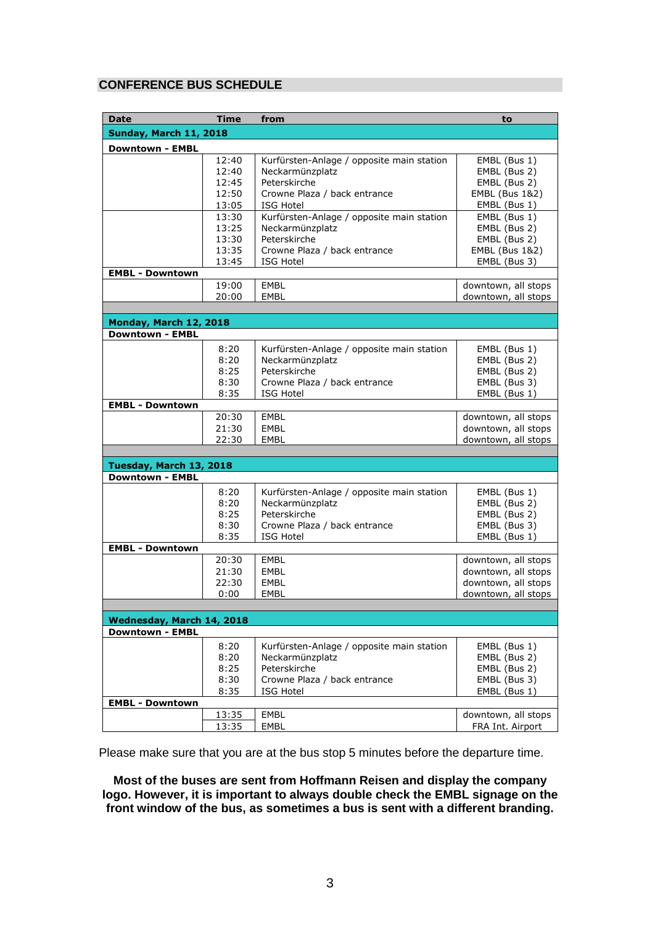## <span id="page-2-0"></span>**CONFERENCE BUS SCHEDULE**

| <b>Date</b>                   | <b>Time</b>    | from                                                         | to                                        |
|-------------------------------|----------------|--------------------------------------------------------------|-------------------------------------------|
| <b>Sunday, March 11, 2018</b> |                |                                                              |                                           |
|                               |                |                                                              |                                           |
| <b>Downtown - EMBL</b>        |                |                                                              |                                           |
|                               | 12:40<br>12:40 | Kurfürsten-Anlage / opposite main station                    | EMBL (Bus 1)                              |
|                               |                | Neckarmünzplatz<br>Peterskirche                              | EMBL (Bus 2)<br>EMBL (Bus 2)              |
|                               | 12:45          |                                                              |                                           |
|                               | 12:50          | Crowne Plaza / back entrance                                 | <b>EMBL (Bus 1&amp;2)</b><br>EMBL (Bus 1) |
|                               | 13:05<br>13:30 | <b>ISG Hotel</b>                                             |                                           |
|                               | 13:25          | Kurfürsten-Anlage / opposite main station<br>Neckarmünzplatz | EMBL (Bus 1)<br>EMBL (Bus 2)              |
|                               | 13:30          | Peterskirche                                                 | EMBL (Bus 2)                              |
|                               | 13:35          | Crowne Plaza / back entrance                                 | <b>EMBL (Bus 1&amp;2)</b>                 |
|                               | 13:45          | ISG Hotel                                                    | EMBL (Bus 3)                              |
| <b>EMBL - Downtown</b>        |                |                                                              |                                           |
|                               | 19:00          | EMBL                                                         | downtown, all stops                       |
|                               | 20:00          | <b>EMBL</b>                                                  | downtown, all stops                       |
|                               |                |                                                              |                                           |
| Monday, March 12, 2018        |                |                                                              |                                           |
| <b>Downtown - EMBL</b>        |                |                                                              |                                           |
|                               | 8:20           | Kurfürsten-Anlage / opposite main station                    | EMBL (Bus 1)                              |
|                               | 8:20           | Neckarmünzplatz                                              | EMBL (Bus 2)                              |
|                               | 8:25           | Peterskirche                                                 | EMBL (Bus 2)                              |
|                               | 8:30           | Crowne Plaza / back entrance                                 | EMBL (Bus 3)                              |
|                               | 8:35           | <b>ISG Hotel</b>                                             | EMBL (Bus 1)                              |
| <b>EMBL - Downtown</b>        |                |                                                              |                                           |
|                               | 20:30          | EMBL                                                         | downtown, all stops                       |
|                               | 21:30          | <b>EMBL</b>                                                  | downtown, all stops                       |
|                               | 22:30          | EMBL                                                         | downtown, all stops                       |
|                               |                |                                                              |                                           |
| Tuesday, March 13, 2018       |                |                                                              |                                           |
| <b>Downtown - EMBL</b>        |                |                                                              |                                           |
|                               | 8:20           | Kurfürsten-Anlage / opposite main station                    | EMBL (Bus 1)                              |
|                               | 8:20           | Neckarmünzplatz                                              | EMBL (Bus 2)                              |
|                               | 8:25           | Peterskirche                                                 | EMBL (Bus 2)                              |
|                               | 8:30           | Crowne Plaza / back entrance                                 | EMBL (Bus 3)                              |
|                               | 8:35           | <b>ISG Hotel</b>                                             | EMBL (Bus 1)                              |
| <b>EMBL - Downtown</b>        |                |                                                              |                                           |
|                               | 20:30          | EMBL                                                         | downtown, all stops                       |
|                               | 21:30          | <b>EMBL</b>                                                  | downtown, all stops                       |
|                               | 22:30          | EMBL                                                         | downtown, all stops                       |
|                               | 0:00           | EMBL                                                         | downtown, all stops                       |
|                               |                |                                                              |                                           |
| Wednesday, March 14, 2018     |                |                                                              |                                           |
| <b>Downtown - EMBL</b>        |                |                                                              |                                           |
|                               | 8:20           | Kurfürsten-Anlage / opposite main station                    | EMBL (Bus 1)                              |
|                               | 8:20           | Neckarmünzplatz                                              | EMBL (Bus 2)                              |
|                               | 8:25           | Peterskirche                                                 | EMBL (Bus 2)                              |
|                               | 8:30           | Crowne Plaza / back entrance                                 | EMBL (Bus 3)                              |
|                               | 8:35           | <b>ISG Hotel</b>                                             | EMBL (Bus 1)                              |
| <b>EMBL - Downtown</b>        |                |                                                              |                                           |
|                               | 13:35          | <b>EMBL</b>                                                  | downtown, all stops                       |
|                               | 13:35          | EMBL                                                         | FRA Int. Airport                          |
|                               |                |                                                              |                                           |

Please make sure that you are at the bus stop 5 minutes before the departure time.

**Most of the buses are sent from Hoffmann Reisen and display the company logo. However, it is important to always double check the EMBL signage on the front window of the bus, as sometimes a bus is sent with a different branding.**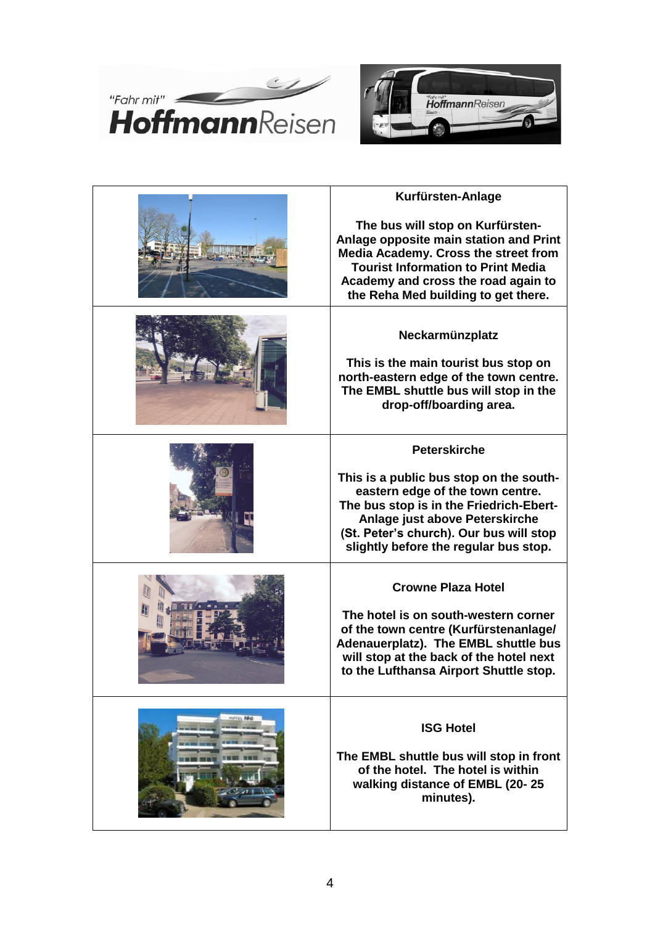



| Kurfürsten-Anlage                                                                                                                                                                                                                                                   |  |
|---------------------------------------------------------------------------------------------------------------------------------------------------------------------------------------------------------------------------------------------------------------------|--|
| The bus will stop on Kurfürsten-<br>Anlage opposite main station and Print<br>Media Academy. Cross the street from<br><b>Tourist Information to Print Media</b><br>Academy and cross the road again to<br>the Reha Med building to get there.                       |  |
| Neckarmünzplatz<br>This is the main tourist bus stop on<br>north-eastern edge of the town centre.<br>The EMBL shuttle bus will stop in the<br>drop-off/boarding area.                                                                                               |  |
| <b>Peterskirche</b><br>This is a public bus stop on the south-<br>eastern edge of the town centre.<br>The bus stop is in the Friedrich-Ebert-<br>Anlage just above Peterskirche<br>(St. Peter's church). Our bus will stop<br>slightly before the regular bus stop. |  |
| <b>Crowne Plaza Hotel</b><br>The hotel is on south-western corner<br>of the town centre (Kurfürstenanlage/<br>Adenauerplatz). The EMBL shuttle bus<br>will stop at the back of the hotel next<br>to the Lufthansa Airport Shuttle stop.                             |  |
| <b>ISG Hotel</b><br>The EMBL shuttle bus will stop in front<br>of the hotel. The hotel is within<br>walking distance of EMBL (20-25<br>minutes).                                                                                                                    |  |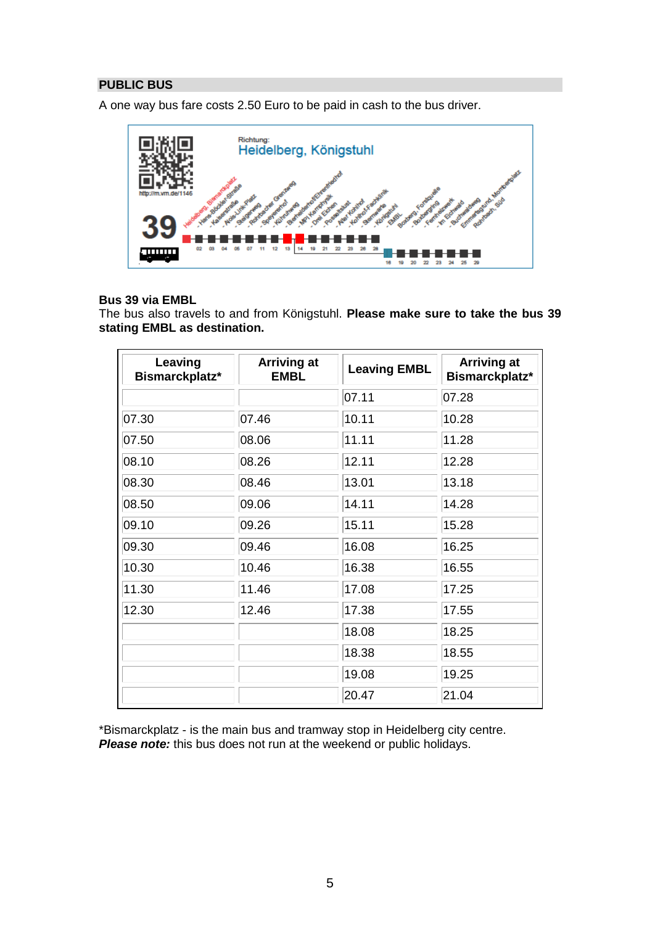## <span id="page-4-0"></span>**PUBLIC BUS**

A one way bus fare costs 2.50 Euro to be paid in cash to the bus driver.



## **Bus 39 via EMBL**

The bus also travels to and from Königstuhl. **Please make sure to take the bus 39 stating EMBL as destination.**

| Leaving<br>Bismarckplatz* | <b>Arriving at</b><br><b>EMBL</b> | <b>Leaving EMBL</b> | <b>Arriving at</b><br>Bismarckplatz* |
|---------------------------|-----------------------------------|---------------------|--------------------------------------|
|                           |                                   | 07.11               | 07.28                                |
| 07.30                     | 07.46                             | 10.11               | 10.28                                |
| 07.50                     | 08.06                             | 11.11               | 11.28                                |
| 08.10                     | 08.26                             | 12.11               | 12.28                                |
| 08.30                     | 08.46                             | 13.01               | 13.18                                |
| 08.50                     | 09.06                             | 14.11               | 14.28                                |
| 09.10                     | 09.26                             | 15.11               | 15.28                                |
| 09.30                     | 09.46                             | 16.08               | 16.25                                |
| 10.30                     | 10.46                             | 16.38               | 16.55                                |
| 11.30                     | 11.46                             | 17.08               | 17.25                                |
| 12.30                     | 12.46                             | 17.38               | 17.55                                |
|                           |                                   | 18.08               | 18.25                                |
|                           |                                   | 18.38               | 18.55                                |
|                           |                                   | 19.08               | 19.25                                |
|                           |                                   | 20.47               | 21.04                                |

\*Bismarckplatz - is the main bus and tramway stop in Heidelberg city centre. *Please note:* this bus does not run at the weekend or public holidays.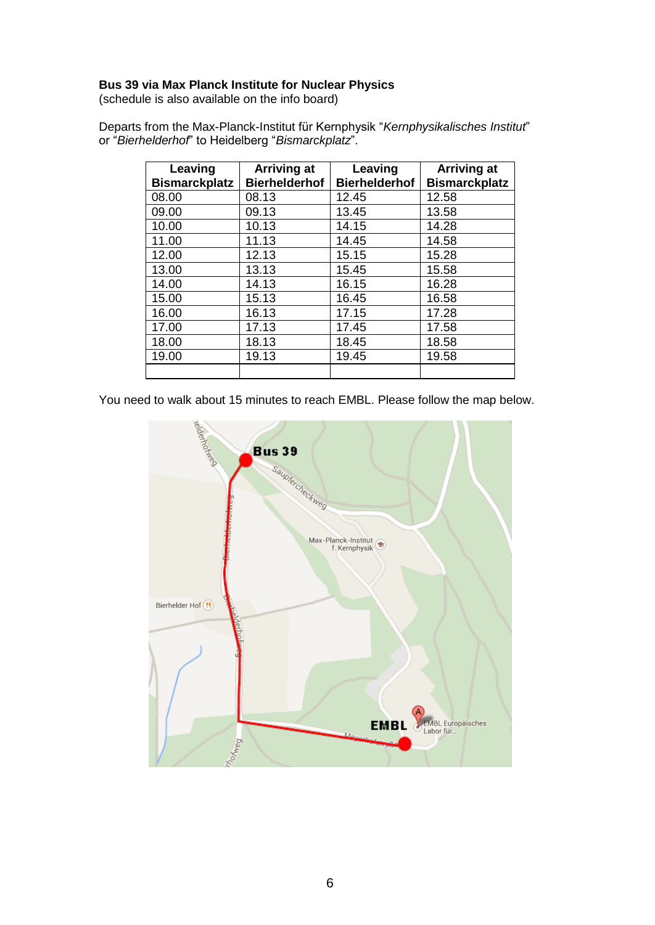## **Bus 39 via Max Planck Institute for Nuclear Physics**

(schedule is also available on the info board)

|  |                                                   | Departs from the Max-Planck-Institut für Kernphysik "Kernphysikalisches Institut" |  |
|--|---------------------------------------------------|-----------------------------------------------------------------------------------|--|
|  | or "Bierhelderhof" to Heidelberg "Bismarckplatz". |                                                                                   |  |

| Leaving<br><b>Bismarckplatz</b> | <b>Arriving at</b><br><b>Bierhelderhof</b> | Leaving<br><b>Bierhelderhof</b> | <b>Arriving at</b><br><b>Bismarckplatz</b> |
|---------------------------------|--------------------------------------------|---------------------------------|--------------------------------------------|
| 08.00                           | 08.13                                      | 12.45                           | 12.58                                      |
| 09.00                           | 09.13                                      | 13.45                           | 13.58                                      |
| 10.00                           | 10.13                                      | 14.15                           | 14.28                                      |
| 11.00                           | 11.13                                      | 14.45                           | 14.58                                      |
| 12.00                           | 12.13                                      | 15.15                           | 15.28                                      |
| 13.00                           | 13.13                                      | 15.45                           | 15.58                                      |
| 14.00                           | 14.13                                      | 16.15                           | 16.28                                      |
| 15.00                           | 15.13                                      | 16.45                           | 16.58                                      |
| 16.00                           | 16.13                                      | 17.15                           | 17.28                                      |
| 17.00                           | 17.13                                      | 17.45                           | 17.58                                      |
| 18.00                           | 18.13                                      | 18.45                           | 18.58                                      |
| 19.00                           | 19.13                                      | 19.45                           | 19.58                                      |
|                                 |                                            |                                 |                                            |

You need to walk about 15 minutes to reach EMBL. Please follow the map below.

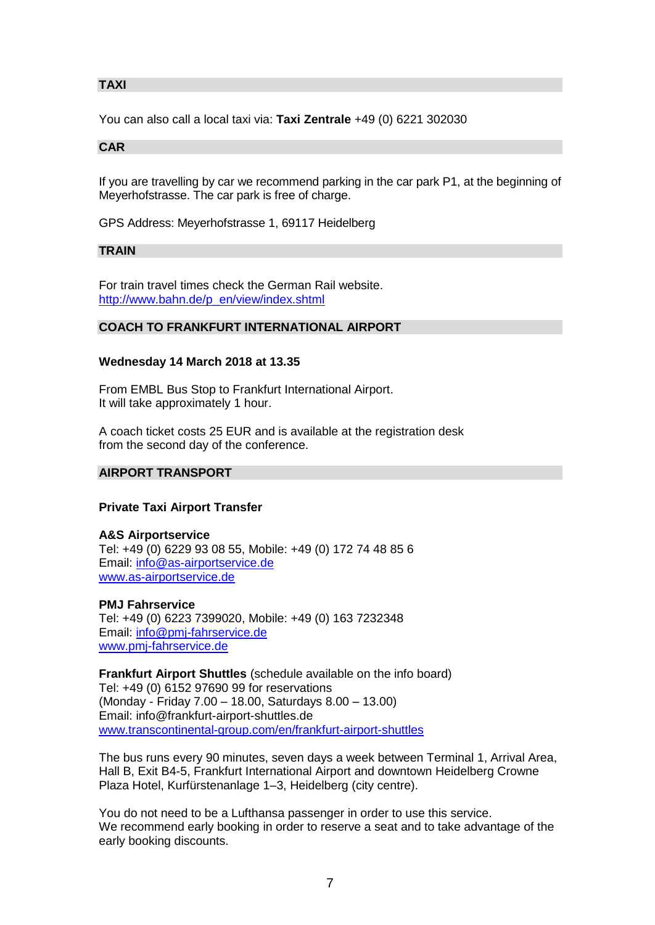## <span id="page-6-0"></span>**TAXI**

You can also call a local taxi via: **Taxi Zentrale** +49 (0) 6221 302030

## <span id="page-6-1"></span>**CAR**

If you are travelling by car we recommend parking in the car park P1, at the beginning of Meyerhofstrasse. The car park is free of charge.

GPS Address: Meyerhofstrasse 1, 69117 Heidelberg

### <span id="page-6-2"></span>**TRAIN**

For train travel times check the German Rail website. [http://www.bahn.de/p\\_en/view/index.shtml](http://www.bahn.de/p_en/view/index.shtml)

## <span id="page-6-3"></span>**COACH TO FRANKFURT INTERNATIONAL AIRPORT**

## **Wednesday 14 March 2018 at 13.35**

From EMBL Bus Stop to Frankfurt International Airport. It will take approximately 1 hour.

A coach ticket costs 25 EUR and is available at the registration desk from the second day of the conference.

### <span id="page-6-4"></span>**AIRPORT TRANSPORT**

### **Private Taxi Airport Transfer**

**A&S Airportservice** Tel: +49 (0) 6229 93 08 55, Mobile: +49 (0) 172 74 48 85 6 Email: [info@as-airportservice.de](mailto:info@as-airportservice.de) [www.as-airportservice.de](http://www.as-airportservice.de/)

### **PMJ Fahrservice**

Tel: +49 (0) 6223 7399020, Mobile: +49 (0) 163 7232348 Email: [info@pmj-fahrservice.de](mailto:info@pmj-fahrservice.de) [www.pmj-fahrservice.de](http://www.pmj-fahrservice.de/)

**Frankfurt Airport Shuttles** (schedule available on the info board) Tel: +49 (0) 6152 97690 99 for reservations (Monday - Friday 7.00 – 18.00, Saturdays 8.00 – 13.00) Email: info@frankfurt-airport-shuttles.de [www.transcontinental-group.com/en/frankfurt-airport-shuttles](http://www.transcontinental-group.com/en/frankfurt-airport-shuttles)

The bus runs every 90 minutes, seven days a week between Terminal 1, Arrival Area, Hall B, Exit B4-5, Frankfurt International Airport and downtown Heidelberg Crowne Plaza Hotel, Kurfürstenanlage 1–3, Heidelberg (city centre).

You do not need to be a Lufthansa passenger in order to use this service. We recommend early booking in order to reserve a seat and to take advantage of the early booking discounts.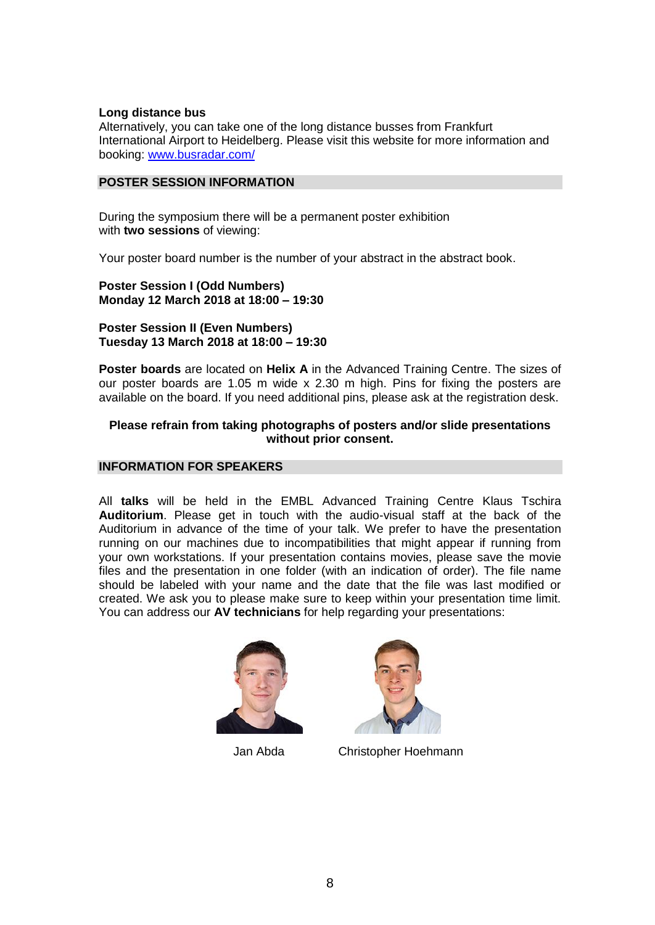## **Long distance bus**

Alternatively, you can take one of the long distance busses from Frankfurt International Airport to Heidelberg. Please visit this website for more information and booking: [www.busradar.com/](http://www.busradar.com/)

## <span id="page-7-0"></span>**POSTER SESSION INFORMATION**

During the symposium there will be a permanent poster exhibition with **two sessions** of viewing:

Your poster board number is the number of your abstract in the abstract book.

**Poster Session I (Odd Numbers) Monday 12 March 2018 at 18:00 – 19:30**

**Poster Session II (Even Numbers) Tuesday 13 March 2018 at 18:00 – 19:30**

**Poster boards** are located on **Helix A** in the Advanced Training Centre. The sizes of our poster boards are 1.05 m wide x 2.30 m high. Pins for fixing the posters are available on the board. If you need additional pins, please ask at the registration desk.

## **Please refrain from taking photographs of posters and/or slide presentations without prior consent.**

## <span id="page-7-1"></span>**INFORMATION FOR SPEAKERS**

All **talks** will be held in the EMBL Advanced Training Centre Klaus Tschira **Auditorium**. Please get in touch with the audio-visual staff at the back of the Auditorium in advance of the time of your talk. We prefer to have the presentation running on our machines due to incompatibilities that might appear if running from your own workstations. If your presentation contains movies, please save the movie files and the presentation in one folder (with an indication of order). The file name should be labeled with your name and the date that the file was last modified or created. We ask you to please make sure to keep within your presentation time limit. You can address our **AV technicians** for help regarding your presentations:





Jan Abda Christopher Hoehmann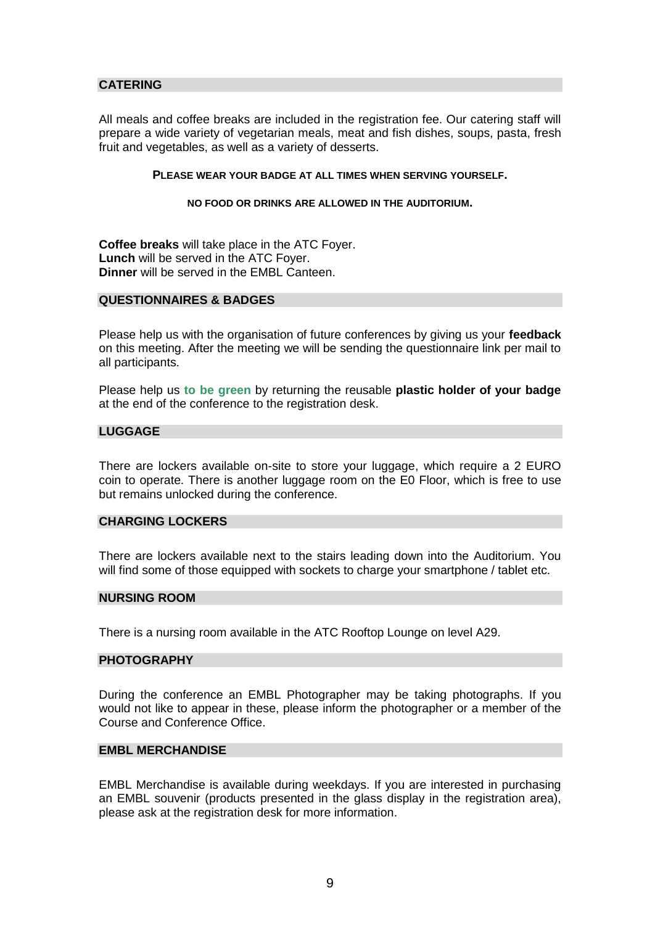## <span id="page-8-0"></span>**CATERING**

All meals and coffee breaks are included in the registration fee. Our catering staff will prepare a wide variety of vegetarian meals, meat and fish dishes, soups, pasta, fresh fruit and vegetables, as well as a variety of desserts.

### **PLEASE WEAR YOUR BADGE AT ALL TIMES WHEN SERVING YOURSELF.**

#### **NO FOOD OR DRINKS ARE ALLOWED IN THE AUDITORIUM.**

**Coffee breaks** will take place in the ATC Foyer. **Lunch** will be served in the ATC Foyer. **Dinner** will be served in the EMBL Canteen.

#### <span id="page-8-1"></span>**QUESTIONNAIRES & BADGES**

Please help us with the organisation of future conferences by giving us your **feedback** on this meeting. After the meeting we will be sending the questionnaire link per mail to all participants.

Please help us **to be green** by returning the reusable **plastic holder of your badge** at the end of the conference to the registration desk.

#### <span id="page-8-2"></span>**LUGGAGE**

There are lockers available on-site to store your luggage, which require a 2 EURO coin to operate. There is another luggage room on the E0 Floor, which is free to use but remains unlocked during the conference.

## <span id="page-8-3"></span>**CHARGING LOCKERS**

There are lockers available next to the stairs leading down into the Auditorium. You will find some of those equipped with sockets to charge your smartphone / tablet etc.

## <span id="page-8-4"></span>**NURSING ROOM**

There is a nursing room available in the ATC Rooftop Lounge on level A29.

#### <span id="page-8-5"></span>**PHOTOGRAPHY**

During the conference an EMBL Photographer may be taking photographs. If you would not like to appear in these, please inform the photographer or a member of the Course and Conference Office.

#### <span id="page-8-6"></span>**EMBL MERCHANDISE**

EMBL Merchandise is available during weekdays. If you are interested in purchasing an EMBL souvenir (products presented in the glass display in the registration area), please ask at the registration desk for more information.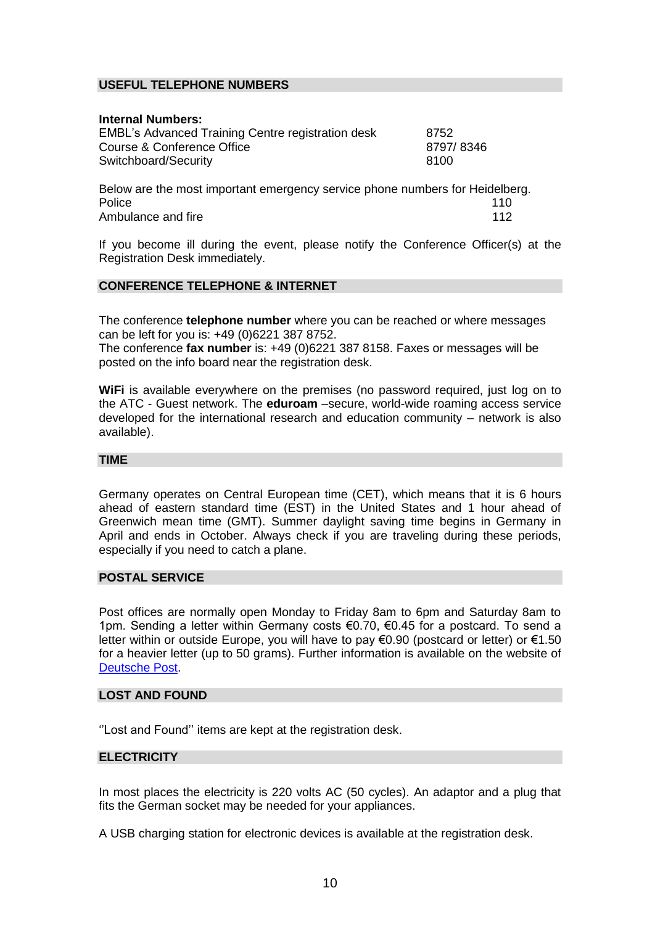## <span id="page-9-0"></span>**USEFUL TELEPHONE NUMBERS**

| <b>Internal Numbers:</b>                                 |           |
|----------------------------------------------------------|-----------|
| <b>EMBL's Advanced Training Centre registration desk</b> | 8752      |
| Course & Conference Office                               | 8797/8346 |
| Switchboard/Security                                     | 8100      |
|                                                          |           |

Below are the most important emergency service phone numbers for Heidelberg. Police 110 Ambulance and fire 112

If you become ill during the event, please notify the Conference Officer(s) at the Registration Desk immediately.

## <span id="page-9-1"></span>**CONFERENCE TELEPHONE & INTERNET**

The conference **telephone number** where you can be reached or where messages can be left for you is: +49 (0)6221 387 8752.

The conference **fax number** is: +49 (0)6221 387 8158. Faxes or messages will be posted on the info board near the registration desk.

**WiFi** is available everywhere on the premises (no password required, just log on to the ATC - Guest network. The **eduroam** –secure, world-wide roaming access service developed for the international research and education community – network is also available).

#### <span id="page-9-2"></span>**TIME**

Germany operates on Central European time (CET), which means that it is 6 hours ahead of eastern standard time (EST) in the United States and 1 hour ahead of Greenwich mean time (GMT). Summer daylight saving time begins in Germany in April and ends in October. Always check if you are traveling during these periods, especially if you need to catch a plane.

### <span id="page-9-3"></span>**POSTAL SERVICE**

Post offices are normally open Monday to Friday 8am to 6pm and Saturday 8am to 1pm. Sending a letter within Germany costs €0.70, €0.45 for a postcard. To send a letter within or outside Europe, you will have to pay €0.90 (postcard or letter) or €1.50 for a heavier letter (up to 50 grams). Further information is available on the website of [Deutsche Post.](https://www.deutschepost.de/en/b/brief_postkarte.html)

## <span id="page-9-4"></span>**LOST AND FOUND**

''Lost and Found'' items are kept at the registration desk.

## <span id="page-9-5"></span>**ELECTRICITY**

In most places the electricity is 220 volts AC (50 cycles). An adaptor and a plug that fits the German socket may be needed for your appliances.

A USB charging station for electronic devices is available at the registration desk.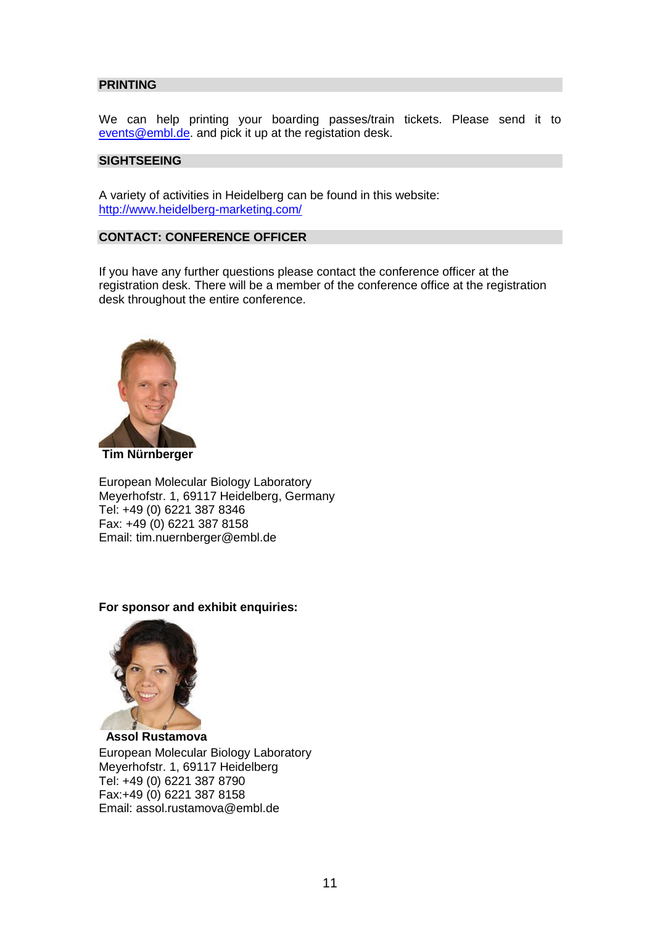## <span id="page-10-0"></span>**PRINTING**

We can help printing your boarding passes/train tickets. Please send it to [events@embl.de.](mailto:events@embl.de) and pick it up at the registation desk.

## <span id="page-10-1"></span>**SIGHTSEEING**

A variety of activities in Heidelberg can be found in this website: <http://www.heidelberg-marketing.com/>

## <span id="page-10-2"></span>**CONTACT: CONFERENCE OFFICER**

If you have any further questions please contact the conference officer at the registration desk. There will be a member of the conference office at the registration desk throughout the entire conference.



**Tim Nürnberger**

European Molecular Biology Laboratory Meyerhofstr. 1, 69117 Heidelberg, Germany Tel: +49 (0) 6221 387 8346 Fax: +49 (0) 6221 387 8158 Email: [tim.nuernberger@embl.de](mailto:tim.nuernberger@embl.de)

## **For sponsor and exhibit enquiries:**



 **Assol Rustamova** European Molecular Biology Laboratory Meyerhofstr. 1, 69117 Heidelberg Tel: +49 (0) 6221 387 8790 Fax:+49 (0) 6221 387 8158 Email: assol.rustamova@embl.de